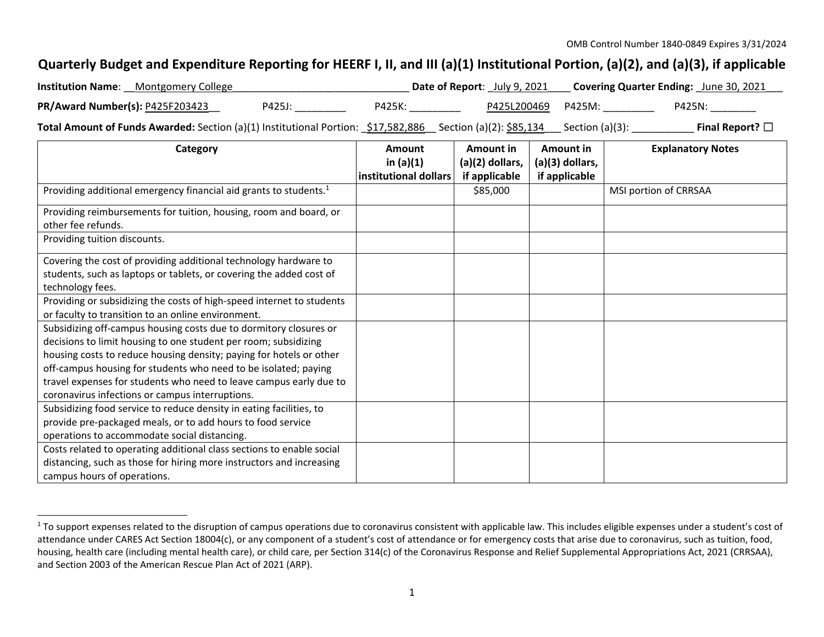## Quarterly Budget and Expenditure Reporting for HEERF I, II, and III (a)(1) Institutional Portion, (a)(2), and (a)(3), if applicable

| <b>Institution Name:</b> Montgomery College                                                                |        |        | <b>Date of Report:</b> July 9, 2021 | <b>Covering Quarter Ending:</b> June 30, 2021 |                      |
|------------------------------------------------------------------------------------------------------------|--------|--------|-------------------------------------|-----------------------------------------------|----------------------|
| PR/Award Number(s): P425F203423                                                                            | P425J: | P425K: | P425L200469 P425M:                  |                                               | P425N:               |
| Total Amount of Funds Awarded: Section (a)(1) Institutional Portion: \$17,582,886 Section (a)(2): \$85,134 |        |        |                                     | _ Section (a)(3):                             | Final Report? $\Box$ |

| Category                                                                      | Amount                | Amount in         | Amount in       | <b>Explanatory Notes</b> |
|-------------------------------------------------------------------------------|-----------------------|-------------------|-----------------|--------------------------|
|                                                                               | in $(a)(1)$           | $(a)(2)$ dollars, | (a)(3) dollars, |                          |
|                                                                               | institutional dollars | if applicable     | if applicable   |                          |
| Providing additional emergency financial aid grants to students. <sup>1</sup> |                       | \$85,000          |                 | MSI portion of CRRSAA    |
| Providing reimbursements for tuition, housing, room and board, or             |                       |                   |                 |                          |
| other fee refunds.                                                            |                       |                   |                 |                          |
| Providing tuition discounts.                                                  |                       |                   |                 |                          |
| Covering the cost of providing additional technology hardware to              |                       |                   |                 |                          |
| students, such as laptops or tablets, or covering the added cost of           |                       |                   |                 |                          |
| technology fees.                                                              |                       |                   |                 |                          |
| Providing or subsidizing the costs of high-speed internet to students         |                       |                   |                 |                          |
| or faculty to transition to an online environment.                            |                       |                   |                 |                          |
| Subsidizing off-campus housing costs due to dormitory closures or             |                       |                   |                 |                          |
| decisions to limit housing to one student per room; subsidizing               |                       |                   |                 |                          |
| housing costs to reduce housing density; paying for hotels or other           |                       |                   |                 |                          |
| off-campus housing for students who need to be isolated; paying               |                       |                   |                 |                          |
| travel expenses for students who need to leave campus early due to            |                       |                   |                 |                          |
| coronavirus infections or campus interruptions.                               |                       |                   |                 |                          |
| Subsidizing food service to reduce density in eating facilities, to           |                       |                   |                 |                          |
| provide pre-packaged meals, or to add hours to food service                   |                       |                   |                 |                          |
| operations to accommodate social distancing.                                  |                       |                   |                 |                          |
| Costs related to operating additional class sections to enable social         |                       |                   |                 |                          |
| distancing, such as those for hiring more instructors and increasing          |                       |                   |                 |                          |
| campus hours of operations.                                                   |                       |                   |                 |                          |

 $^1$  To support expenses related to the disruption of campus operations due to coronavirus consistent with applicable law. This includes eligible expenses under a student's cost of attendance under CARES Act Section 18004(c), or any component of <sup>a</sup> student's cost of attendance or for emergency costs that arise due to coronavirus, such as tuition, food, housing, health care (including mental health care), or child care, per Section 314(c) of the Coronavirus Response and Relief Supplemental Appropriations Act, 2021 (CRRSAA), and Section 2003 of the American Rescue Plan Act of 2021 (ARP).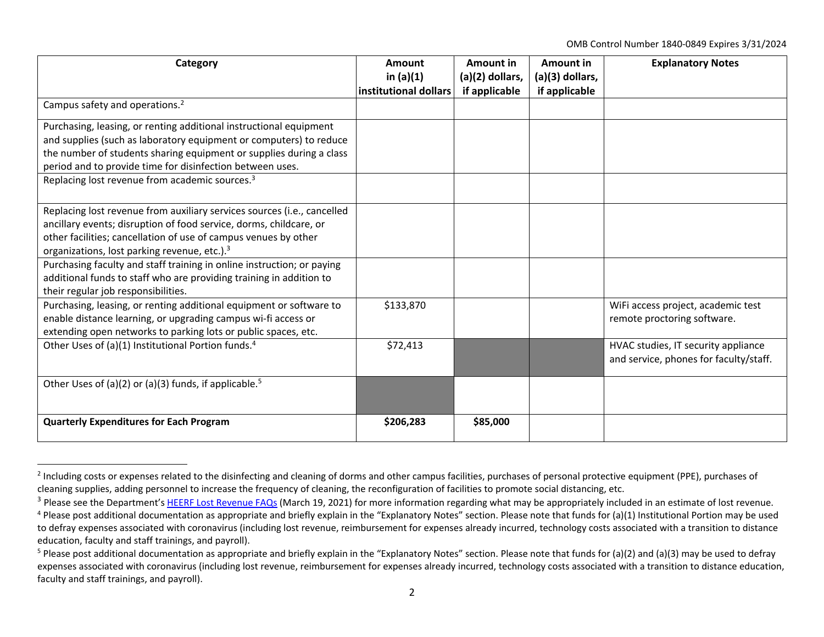OMB Control Number 1840‐0849 Expires 3/31/2024

| Category                                                                                                                                                                                                                                                                                                                                   | Amount<br>in $(a)(1)$<br>institutional dollars | Amount in<br>$(a)(2)$ dollars,<br>if applicable | Amount in<br>(a)(3) dollars,<br>if applicable | <b>Explanatory Notes</b>                                                      |
|--------------------------------------------------------------------------------------------------------------------------------------------------------------------------------------------------------------------------------------------------------------------------------------------------------------------------------------------|------------------------------------------------|-------------------------------------------------|-----------------------------------------------|-------------------------------------------------------------------------------|
| Campus safety and operations. <sup>2</sup>                                                                                                                                                                                                                                                                                                 |                                                |                                                 |                                               |                                                                               |
| Purchasing, leasing, or renting additional instructional equipment<br>and supplies (such as laboratory equipment or computers) to reduce<br>the number of students sharing equipment or supplies during a class<br>period and to provide time for disinfection between uses.<br>Replacing lost revenue from academic sources. <sup>3</sup> |                                                |                                                 |                                               |                                                                               |
|                                                                                                                                                                                                                                                                                                                                            |                                                |                                                 |                                               |                                                                               |
| Replacing lost revenue from auxiliary services sources (i.e., cancelled<br>ancillary events; disruption of food service, dorms, childcare, or<br>other facilities; cancellation of use of campus venues by other<br>organizations, lost parking revenue, etc.). <sup>3</sup>                                                               |                                                |                                                 |                                               |                                                                               |
| Purchasing faculty and staff training in online instruction; or paying<br>additional funds to staff who are providing training in addition to<br>their regular job responsibilities.                                                                                                                                                       |                                                |                                                 |                                               |                                                                               |
| Purchasing, leasing, or renting additional equipment or software to<br>enable distance learning, or upgrading campus wi-fi access or<br>extending open networks to parking lots or public spaces, etc.                                                                                                                                     | \$133,870                                      |                                                 |                                               | WiFi access project, academic test<br>remote proctoring software.             |
| Other Uses of (a)(1) Institutional Portion funds. <sup>4</sup>                                                                                                                                                                                                                                                                             | \$72,413                                       |                                                 |                                               | HVAC studies, IT security appliance<br>and service, phones for faculty/staff. |
| Other Uses of (a)(2) or (a)(3) funds, if applicable. <sup>5</sup>                                                                                                                                                                                                                                                                          |                                                |                                                 |                                               |                                                                               |
| <b>Quarterly Expenditures for Each Program</b>                                                                                                                                                                                                                                                                                             | \$206,283                                      | \$85,000                                        |                                               |                                                                               |

<sup>&</sup>lt;sup>2</sup> Including costs or expenses related to the disinfecting and cleaning of dorms and other campus facilities, purchases of personal protective equipment (PPE), purchases of cleaning supplies, adding personnel to increase the frequency of cleaning, the reconfiguration of facilities to promote social distancing, etc.

<sup>&</sup>lt;sup>3</sup> Please see the Department's HEERF Lost Revenue FAQs (March 19, 2021) for more information regarding what may be appropriately included in an estimate of lost revenue.

<sup>&</sup>lt;sup>4</sup> Please post additional documentation as appropriate and briefly explain in the "Explanatory Notes" section. Please note that funds for (a)(1) Institutional Portion may be used to defray expenses associated with coronavirus (including lost revenue, reimbursement for expenses already incurred, technology costs associated with <sup>a</sup> transition to distance education, faculty and staff trainings, and payroll).

<sup>&</sup>lt;sup>5</sup> Please post additional documentation as appropriate and briefly explain in the "Explanatory Notes" section. Please note that funds for (a)(2) and (a)(3) may be used to defray expenses associated with coronavirus (including lost revenue, reimbursement for expenses already incurred, technology costs associated with a transition to distance education, faculty and staff trainings, and payroll).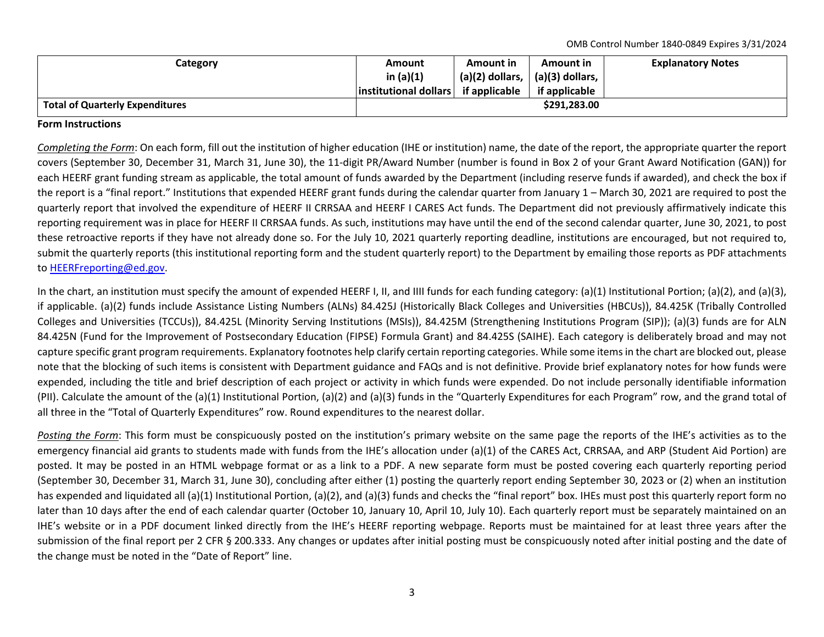OMB Control Number 1840‐0849 Expires 3/31/2024

| Category                               | Amount                | Amount in                     | Amount in         | <b>Explanatory Notes</b> |
|----------------------------------------|-----------------------|-------------------------------|-------------------|--------------------------|
|                                        | in $(a)(1)$           | $(a)(2)$ dollars, $\parallel$ | $(a)(3)$ dollars, |                          |
|                                        | institutional dollars | if applicable                 | if applicable     |                          |
| <b>Total of Quarterly Expenditures</b> |                       |                               | \$291.283.00      |                          |

## **Form Instructions**

*Completing the Form*: On each form, fill out the institution of higher education (IHE or institution) name, the date of the report, the appropriate quarter the report covers (September 30, December 31, March 31, June 30), the 11‐digit PR/Award Number (number is found in Box 2 of your Grant Award Notification (GAN)) for each HEERF grant funding stream as applicable, the total amount of funds awarded by the Department (including reserve funds if awarded), and check the box if the report is <sup>a</sup> "final report." Institutions that expended HEERF grant funds during the calendar quarter from January 1 – March 30, 2021 are required to post the quarterly report that involved the expenditure of HEERF II CRRSAA and HEERF I CARES Act funds. The Department did not previously affirmatively indicate this reporting requirement was in place for HEERF II CRRSAA funds. As such, institutions may have until the end of the second calendar quarter, June 30, 2021, to post these retroactive reports if they have not already done so. For the July 10, 2021 quarterly reporting deadline, institutions are encouraged, but not required to, submit the quarterly reports (this institutional reporting form and the student quarterly report) to the Department by emailing those reports as PDF attachments to HEERFreporting@ed.gov.

In the chart, an institution must specify the amount of expended HEERF I, II, and IIII funds for each funding category: (a)(1) Institutional Portion; (a)(2), and (a)(3), if applicable. (a)(2) funds include Assistance Listing Numbers (ALNs) 84.425J (Historically Black Colleges and Universities (HBCUs)), 84.425K (Tribally Controlled Colleges and Universities (TCCUs)), 84.425L (Minority Serving Institutions (MSIs)), 84.425M (Strengthening Institutions Program (SIP)); (a)(3) funds are for ALN 84.425N (Fund for the Improvement of Postsecondary Education (FIPSE) Formula Grant) and 84.425S (SAIHE). Each category is deliberately broad and may not capture specific grant program requirements. Explanatory footnotes help clarify certain reporting categories. While some itemsin the chart are blocked out, please note that the blocking of such items is consistent with Department guidance and FAQs and is not definitive. Provide brief explanatory notes for how funds were expended, including the title and brief description of each project or activity in which funds were expended. Do not include personally identifiable information (PII). Calculate the amount of the (a)(1) Institutional Portion, (a)(2) and (a)(3) funds in the "Quarterly Expenditures for each Program" row, and the grand total of all three in the "Total of Quarterly Expenditures" row. Round expenditures to the nearest dollar.

Posting the Form: This form must be conspicuously posted on the institution's primary website on the same page the reports of the IHE's activities as to the emergency financial aid grants to students made with funds from the IHE's allocation under (a)(1) of the CARES Act, CRRSAA, and ARP (Student Aid Portion) are posted. It may be posted in an HTML webpage format or as <sup>a</sup> link to <sup>a</sup> PDF. A new separate form must be posted covering each quarterly reporting period (September 30, December 31, March 31, June 30), concluding after either (1) posting the quarterly report ending September 30, 2023 or (2) when an institution has expended and liquidated all (a)(1) Institutional Portion, (a)(2), and (a)(3) funds and checks the "final report" box. IHEs must post this quarterly report form no later than 10 days after the end of each calendar quarter (October 10, January 10, April 10, July 10). Each quarterly report must be separately maintained on an IHE's website or in <sup>a</sup> PDF document linked directly from the IHE's HEERF reporting webpage. Reports must be maintained for at least three years after the submission of the final report per 2 CFR § 200.333. Any changes or updates after initial posting must be conspicuously noted after initial posting and the date of the change must be noted in the "Date of Report" line.